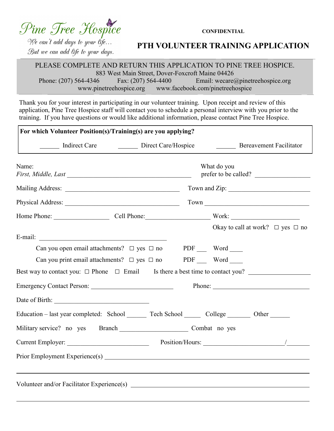## Pine Tree Hospice

**CONFIDENTIAL**

We can't add days to your life... But we can add life to your days.

Г

## **PTH VOLUNTEER TRAINING APPLICATION**

PLEASE COMPLETE AND RETURN THIS APPLICATION TO PINE TREE HOSPICE. 883 West Main Street, Dover-Foxcroft Maine 04426 Phone: (207) 564-4346 Fax: (207) 564-4400 Email: wecare@pinetreehospice.org www.pinetreehospice.org www.facebook.com/pinetreehospice

Thank you for your interest in participating in our volunteer training. Upon receipt and review of this application, Pine Tree Hospice staff will contact you to schedule a personal interview with you prior to the training. If you have questions or would like additional information, please contact Pine Tree Hospice.

| Indirect Care Direct Care/Hospice                              |  |        |  | Bereavement Facilitator                                                                 |
|----------------------------------------------------------------|--|--------|--|-----------------------------------------------------------------------------------------|
| Name:                                                          |  |        |  | What do you<br>prefer to be called?                                                     |
|                                                                |  |        |  |                                                                                         |
|                                                                |  |        |  |                                                                                         |
|                                                                |  |        |  | Home Phone: Cell Phone: Cell Phone: Work:                                               |
| E-mail:                                                        |  |        |  | Okay to call at work? $\Box$ yes $\Box$ no                                              |
| Can you open email attachments? $\Box$ yes $\Box$ no PDF Word  |  |        |  |                                                                                         |
| Can you print email attachments? $\Box$ yes $\Box$ no PDF Word |  |        |  |                                                                                         |
|                                                                |  |        |  | Best way to contact you: $\Box$ Phone $\Box$ Email Is there a best time to contact you? |
|                                                                |  | Phone: |  |                                                                                         |
|                                                                |  |        |  |                                                                                         |
|                                                                |  |        |  | Education – last year completed: School Tech School College College Other               |
| Military service? no yes Branch Combat no yes                  |  |        |  |                                                                                         |
|                                                                |  |        |  |                                                                                         |
| Prior Employment Experience(s)                                 |  |        |  |                                                                                         |
|                                                                |  |        |  | Volunteer and/or Facilitator Experience(s)                                              |